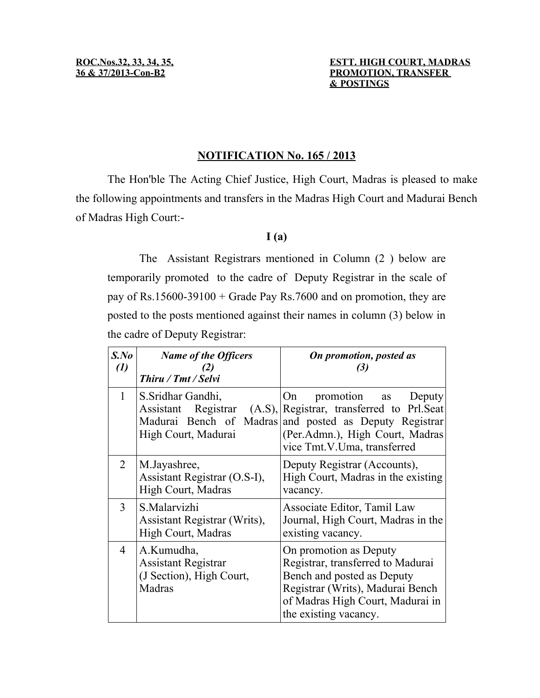### **ROC.Nos.32, 33, 34, 35, ESTT. HIGH COURT, MADRAS 36 & 37/2013-Con-B2 PROMOTION, TRANSFER & POSTINGS**

## **NOTIFICATION No. 165 / 2013**

The Hon'ble The Acting Chief Justice, High Court, Madras is pleased to make the following appointments and transfers in the Madras High Court and Madurai Bench of Madras High Court:-

# **I (a)**

The Assistant Registrars mentioned in Column (2 ) below are temporarily promoted to the cadre of Deputy Registrar in the scale of pay of Rs.15600-39100 + Grade Pay Rs.7600 and on promotion, they are posted to the posts mentioned against their names in column (3) below in the cadre of Deputy Registrar:

| $S$ .No<br>$\left( l\right)$ | <b>Name of the Officers</b><br>(2)<br>Thiru / Tmt / Selvi                      | On promotion, posted as<br>(3)                                                                                                                                                                 |
|------------------------------|--------------------------------------------------------------------------------|------------------------------------------------------------------------------------------------------------------------------------------------------------------------------------------------|
| 1                            | S. Sridhar Gandhi,<br>Assistant Registrar $(A.S)$ ,<br>High Court, Madurai     | On<br>promotion as<br>Deputy<br>Registrar, transferred to Prl.Seat<br>Madurai Bench of Madras and posted as Deputy Registrar<br>(Per.Admn.), High Court, Madras<br>vice Tmt.V.Uma, transferred |
| $\overline{2}$               | M.Jayashree,<br>Assistant Registrar (O.S-I),<br>High Court, Madras             | Deputy Registrar (Accounts),<br>High Court, Madras in the existing<br>vacancy.                                                                                                                 |
| 3                            | S.Malarvizhi<br>Assistant Registrar (Writs),<br>High Court, Madras             | Associate Editor, Tamil Law<br>Journal, High Court, Madras in the<br>existing vacancy.                                                                                                         |
| 4                            | A.Kumudha,<br><b>Assistant Registrar</b><br>(J Section), High Court,<br>Madras | On promotion as Deputy<br>Registrar, transferred to Madurai<br>Bench and posted as Deputy<br>Registrar (Writs), Madurai Bench<br>of Madras High Court, Madurai in<br>the existing vacancy.     |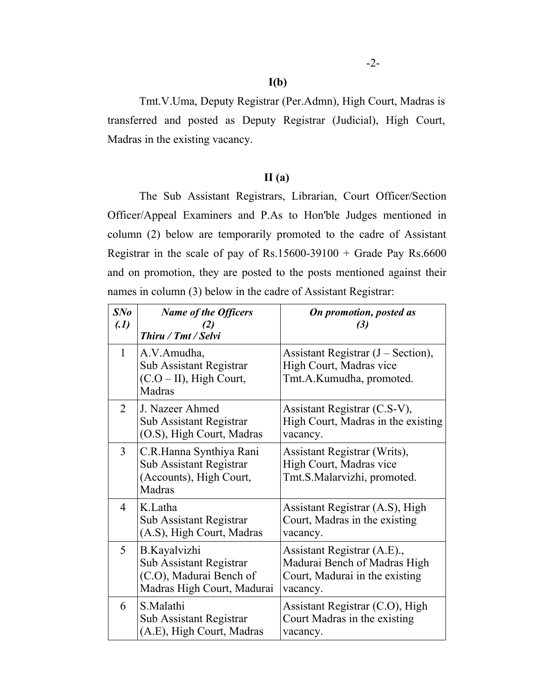Tmt.V.Uma, Deputy Registrar (Per.Admn), High Court, Madras is transferred and posted as Deputy Registrar (Judicial), High Court, Madras in the existing vacancy.

# **II (a)**

The Sub Assistant Registrars, Librarian, Court Officer/Section Officer/Appeal Examiners and P.As to Hon'ble Judges mentioned in column (2) below are temporarily promoted to the cadre of Assistant Registrar in the scale of pay of Rs.15600-39100 + Grade Pay Rs.6600 and on promotion, they are posted to the posts mentioned against their names in column (3) below in the cadre of Assistant Registrar:

| SNo<br>(1)     | <b>Name of the Officers</b><br>(2)<br>Thiru / Tmt / Selvi                                        | On promotion, posted as<br>(3)                                                                            |
|----------------|--------------------------------------------------------------------------------------------------|-----------------------------------------------------------------------------------------------------------|
| $\mathbf{1}$   | A.V.Amudha,<br>Sub Assistant Registrar<br>$(C.O-II)$ , High Court,<br>Madras                     | Assistant Registrar $(J - Section)$ ,<br>High Court, Madras vice<br>Tmt.A.Kumudha, promoted.              |
| $\overline{2}$ | J. Nazeer Ahmed<br>Sub Assistant Registrar<br>(O.S), High Court, Madras                          | Assistant Registrar (C.S-V),<br>High Court, Madras in the existing<br>vacancy.                            |
| $\overline{3}$ | C.R.Hanna Synthiya Rani<br>Sub Assistant Registrar<br>(Accounts), High Court,<br>Madras          | Assistant Registrar (Writs),<br>High Court, Madras vice<br>Tmt.S.Malarvizhi, promoted.                    |
| $\overline{4}$ | K.Latha<br>Sub Assistant Registrar<br>(A.S), High Court, Madras                                  | Assistant Registrar (A.S), High<br>Court, Madras in the existing<br>vacancy.                              |
| 5              | B.Kayalvizhi<br>Sub Assistant Registrar<br>(C.O), Madurai Bench of<br>Madras High Court, Madurai | Assistant Registrar (A.E).,<br>Madurai Bench of Madras High<br>Court, Madurai in the existing<br>vacancy. |
| 6              | S.Malathi<br>Sub Assistant Registrar<br>(A.E), High Court, Madras                                | Assistant Registrar (C.O), High<br>Court Madras in the existing<br>vacancy.                               |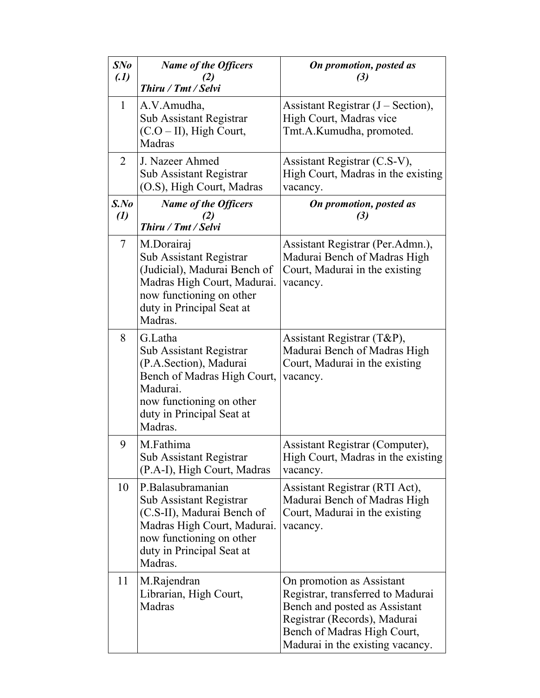| SNo<br>(1)                   | <b>Name of the Officers</b>                                                                                                                                                   | On promotion, posted as<br>(3)                                                                                                                                                                     |
|------------------------------|-------------------------------------------------------------------------------------------------------------------------------------------------------------------------------|----------------------------------------------------------------------------------------------------------------------------------------------------------------------------------------------------|
|                              | Thiru / Tmt / Selvi                                                                                                                                                           |                                                                                                                                                                                                    |
| 1                            | A.V.Amudha,<br>Sub Assistant Registrar<br>$(C.O-II)$ , High Court,<br>Madras                                                                                                  | Assistant Registrar $(J - Section)$ ,<br>High Court, Madras vice<br>Tmt.A.Kumudha, promoted.                                                                                                       |
| $\overline{2}$               | J. Nazeer Ahmed<br><b>Sub Assistant Registrar</b><br>(O.S), High Court, Madras                                                                                                | Assistant Registrar (C.S-V),<br>High Court, Madras in the existing<br>vacancy.                                                                                                                     |
| $S$ .No<br>$\left( l\right)$ | <b>Name of the Officers</b><br>Thiru / Tmt / Selvi                                                                                                                            | On promotion, posted as<br>(3)                                                                                                                                                                     |
| $\overline{7}$               | M.Dorairaj<br>Sub Assistant Registrar<br>(Judicial), Madurai Bench of<br>Madras High Court, Madurai.<br>now functioning on other<br>duty in Principal Seat at<br>Madras.      | Assistant Registrar (Per.Admn.),<br>Madurai Bench of Madras High<br>Court, Madurai in the existing<br>vacancy.                                                                                     |
| 8                            | G.Latha<br>Sub Assistant Registrar<br>(P.A.Section), Madurai<br>Bench of Madras High Court,<br>Madurai.<br>now functioning on other<br>duty in Principal Seat at<br>Madras.   | Assistant Registrar (T&P),<br>Madurai Bench of Madras High<br>Court, Madurai in the existing<br>vacancy.                                                                                           |
| 9                            | M.Fathima<br>Sub Assistant Registrar<br>(P.A-I), High Court, Madras                                                                                                           | Assistant Registrar (Computer),<br>High Court, Madras in the existing<br>vacancy.                                                                                                                  |
| 10                           | P.Balasubramanian<br>Sub Assistant Registrar<br>(C.S-II), Madurai Bench of<br>Madras High Court, Madurai.<br>now functioning on other<br>duty in Principal Seat at<br>Madras. | Assistant Registrar (RTI Act),<br>Madurai Bench of Madras High<br>Court, Madurai in the existing<br>vacancy.                                                                                       |
| 11                           | M.Rajendran<br>Librarian, High Court,<br>Madras                                                                                                                               | On promotion as Assistant<br>Registrar, transferred to Madurai<br>Bench and posted as Assistant<br>Registrar (Records), Madurai<br>Bench of Madras High Court,<br>Madurai in the existing vacancy. |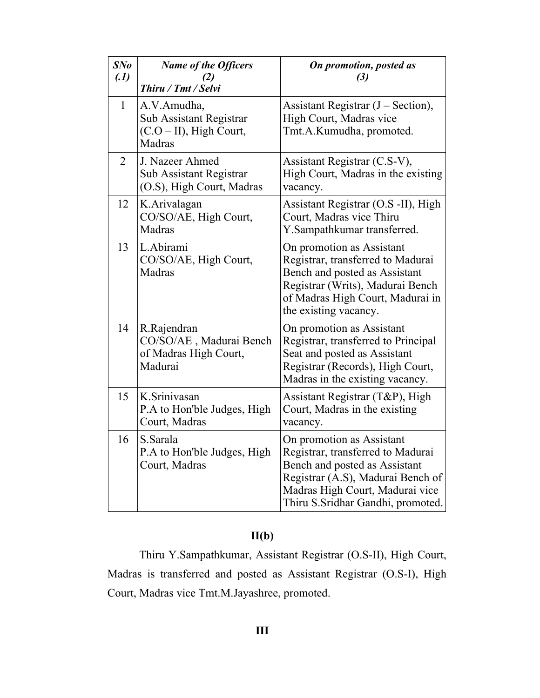| SNo<br>(1)     | <b>Name of the Officers</b><br>(2)<br>Thiru / Tmt / Selvi                           | On promotion, posted as<br>(3)                                                                                                                                                                                |
|----------------|-------------------------------------------------------------------------------------|---------------------------------------------------------------------------------------------------------------------------------------------------------------------------------------------------------------|
| $\mathbf{1}$   | A.V.Amudha,<br><b>Sub Assistant Registrar</b><br>$(C.O-II)$ , High Court,<br>Madras | Assistant Registrar $(J - Section)$ ,<br>High Court, Madras vice<br>Tmt.A.Kumudha, promoted.                                                                                                                  |
| $\overline{2}$ | J. Nazeer Ahmed<br><b>Sub Assistant Registrar</b><br>(O.S), High Court, Madras      | Assistant Registrar (C.S-V),<br>High Court, Madras in the existing<br>vacancy.                                                                                                                                |
| 12             | K.Arivalagan<br>CO/SO/AE, High Court,<br>Madras                                     | Assistant Registrar (O.S -II), High<br>Court, Madras vice Thiru<br>Y.Sampathkumar transferred.                                                                                                                |
| 13             | L.Abirami<br>CO/SO/AE, High Court,<br>Madras                                        | On promotion as Assistant<br>Registrar, transferred to Madurai<br>Bench and posted as Assistant<br>Registrar (Writs), Madurai Bench<br>of Madras High Court, Madurai in<br>the existing vacancy.              |
| 14             | R.Rajendran<br>CO/SO/AE, Madurai Bench<br>of Madras High Court,<br>Madurai          | On promotion as Assistant<br>Registrar, transferred to Principal<br>Seat and posted as Assistant<br>Registrar (Records), High Court,<br>Madras in the existing vacancy.                                       |
| 15             | K.Srinivasan<br>P.A to Hon'ble Judges, High<br>Court, Madras                        | Assistant Registrar (T&P), High<br>Court, Madras in the existing<br>vacancy.                                                                                                                                  |
| 16             | S.Sarala<br>P.A to Hon'ble Judges, High<br>Court, Madras                            | On promotion as Assistant<br>Registrar, transferred to Madurai<br>Bench and posted as Assistant<br>Registrar (A.S), Madurai Bench of<br>Madras High Court, Madurai vice<br>Thiru S. Sridhar Gandhi, promoted. |

# **II(b)**

Thiru Y.Sampathkumar, Assistant Registrar (O.S-II), High Court, Madras is transferred and posted as Assistant Registrar (O.S-I), High Court, Madras vice Tmt.M.Jayashree, promoted.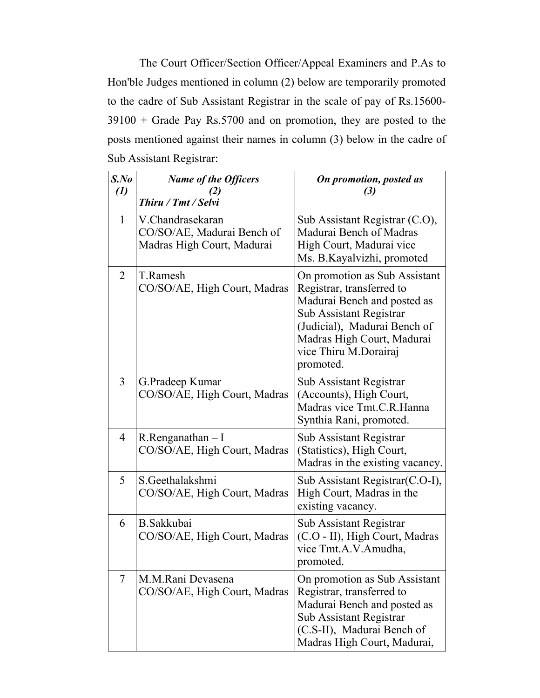The Court Officer/Section Officer/Appeal Examiners and P.As to Hon'ble Judges mentioned in column (2) below are temporarily promoted to the cadre of Sub Assistant Registrar in the scale of pay of Rs.15600- 39100 + Grade Pay Rs.5700 and on promotion, they are posted to the posts mentioned against their names in column (3) below in the cadre of Sub Assistant Registrar:

| $S$ .No<br>$\left( l\right)$ | <b>Name of the Officers</b><br>Thiru / Tmt / Selvi                           | On promotion, posted as<br>(3)                                                                                                                                                                                           |
|------------------------------|------------------------------------------------------------------------------|--------------------------------------------------------------------------------------------------------------------------------------------------------------------------------------------------------------------------|
| 1                            | V.Chandrasekaran<br>CO/SO/AE, Madurai Bench of<br>Madras High Court, Madurai | Sub Assistant Registrar (C.O),<br>Madurai Bench of Madras<br>High Court, Madurai vice<br>Ms. B. Kayalvizhi, promoted                                                                                                     |
| $\overline{2}$               | T.Ramesh<br>CO/SO/AE, High Court, Madras                                     | On promotion as Sub Assistant<br>Registrar, transferred to<br>Madurai Bench and posted as<br>Sub Assistant Registrar<br>(Judicial), Madurai Bench of<br>Madras High Court, Madurai<br>vice Thiru M.Dorairaj<br>promoted. |
| $\overline{3}$               | G.Pradeep Kumar<br>CO/SO/AE, High Court, Madras                              | Sub Assistant Registrar<br>(Accounts), High Court,<br>Madras vice Tmt.C.R.Hanna<br>Synthia Rani, promoted.                                                                                                               |
| 4                            | $R$ . Renganathan $-I$<br>CO/SO/AE, High Court, Madras                       | Sub Assistant Registrar<br>(Statistics), High Court,<br>Madras in the existing vacancy.                                                                                                                                  |
| 5                            | S.Geethalakshmi<br>CO/SO/AE, High Court, Madras                              | Sub Assistant Registrar(C.O-I),<br>High Court, Madras in the<br>existing vacancy.                                                                                                                                        |
| 6                            | <b>B.</b> Sakkubai<br>CO/SO/AE, High Court, Madras                           | Sub Assistant Registrar<br>(C.O - II), High Court, Madras<br>vice Tmt.A.V.Amudha,<br>promoted.                                                                                                                           |
| 7                            | M.M.Rani Devasena<br>CO/SO/AE, High Court, Madras                            | On promotion as Sub Assistant<br>Registrar, transferred to<br>Madurai Bench and posted as<br>Sub Assistant Registrar<br>(C.S-II), Madurai Bench of<br>Madras High Court, Madurai,                                        |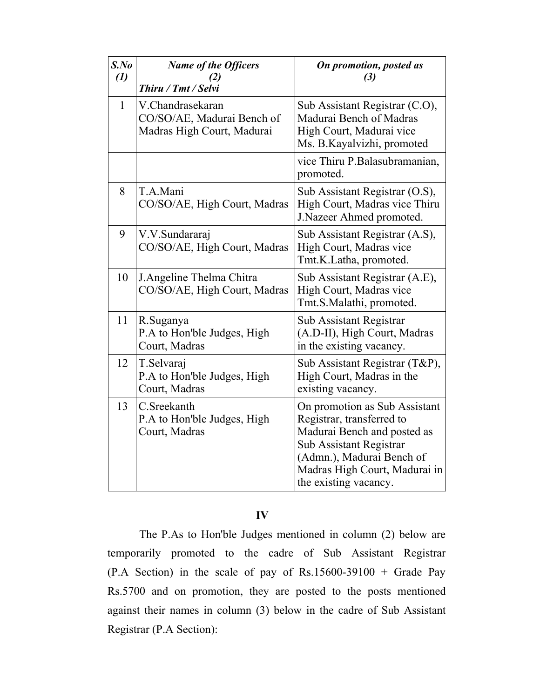| $S$ .No<br>$\left( l\right)$ | <b>Name of the Officers</b><br>Thiru / Tmt / Selvi                           | On promotion, posted as<br>(3)                                                                                                                                                                              |
|------------------------------|------------------------------------------------------------------------------|-------------------------------------------------------------------------------------------------------------------------------------------------------------------------------------------------------------|
| $\mathbf{1}$                 | V.Chandrasekaran<br>CO/SO/AE, Madurai Bench of<br>Madras High Court, Madurai | Sub Assistant Registrar (C.O),<br>Madurai Bench of Madras<br>High Court, Madurai vice<br>Ms. B.Kayalvizhi, promoted                                                                                         |
|                              |                                                                              | vice Thiru P.Balasubramanian,<br>promoted.                                                                                                                                                                  |
| 8                            | T.A.Mani<br>CO/SO/AE, High Court, Madras                                     | Sub Assistant Registrar (O.S),<br>High Court, Madras vice Thiru<br>J.Nazeer Ahmed promoted.                                                                                                                 |
| 9                            | V.V.Sundararaj<br>CO/SO/AE, High Court, Madras                               | Sub Assistant Registrar (A.S),<br>High Court, Madras vice<br>Tmt.K.Latha, promoted.                                                                                                                         |
| 10                           | J. Angeline Thelma Chitra<br>CO/SO/AE, High Court, Madras                    | Sub Assistant Registrar (A.E),<br>High Court, Madras vice<br>Tmt.S.Malathi, promoted.                                                                                                                       |
| 11                           | R.Suganya<br>P.A to Hon'ble Judges, High<br>Court, Madras                    | Sub Assistant Registrar<br>(A.D-II), High Court, Madras<br>in the existing vacancy.                                                                                                                         |
| 12                           | T.Selvaraj<br>P.A to Hon'ble Judges, High<br>Court, Madras                   | Sub Assistant Registrar (T&P),<br>High Court, Madras in the<br>existing vacancy.                                                                                                                            |
| 13                           | C.Sreekanth<br>P.A to Hon'ble Judges, High<br>Court, Madras                  | On promotion as Sub Assistant<br>Registrar, transferred to<br>Madurai Bench and posted as<br>Sub Assistant Registrar<br>(Admn.), Madurai Bench of<br>Madras High Court, Madurai in<br>the existing vacancy. |

# **IV**

The P.As to Hon'ble Judges mentioned in column (2) below are temporarily promoted to the cadre of Sub Assistant Registrar (P.A Section) in the scale of pay of Rs.15600-39100 + Grade Pay Rs.5700 and on promotion, they are posted to the posts mentioned against their names in column (3) below in the cadre of Sub Assistant Registrar (P.A Section):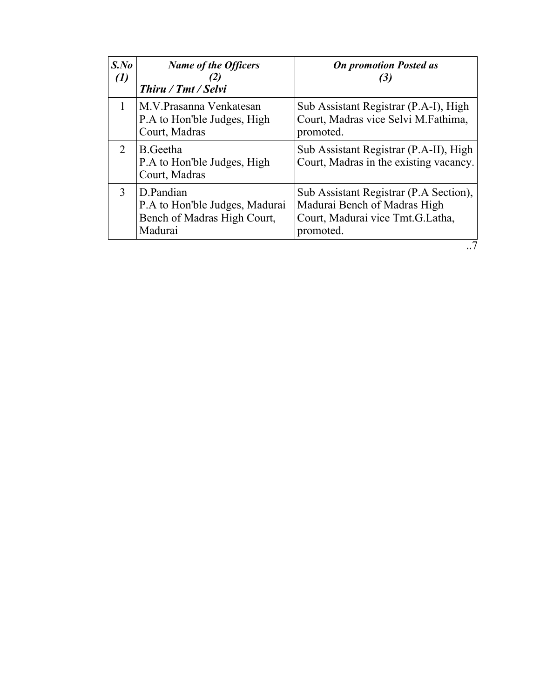| $S$ .No<br>$\left(1\right)$ | <b>Name of the Officers</b><br>(2)<br>Thiru / Tmt / Selvi                             | <b>On promotion Posted as</b><br>(3)                                                                                    |
|-----------------------------|---------------------------------------------------------------------------------------|-------------------------------------------------------------------------------------------------------------------------|
|                             | M.V. Prasanna Venkatesan<br>P.A to Hon'ble Judges, High<br>Court, Madras              | Sub Assistant Registrar (P.A-I), High<br>Court, Madras vice Selvi M.Fathima,<br>promoted.                               |
| 2                           | B. Geetha<br>P.A to Hon'ble Judges, High<br>Court, Madras                             | Sub Assistant Registrar (P.A-II), High<br>Court, Madras in the existing vacancy.                                        |
| 3                           | D.Pandian<br>P.A to Hon'ble Judges, Madurai<br>Bench of Madras High Court,<br>Madurai | Sub Assistant Registrar (P.A Section),<br>Madurai Bench of Madras High<br>Court, Madurai vice Tmt.G.Latha,<br>promoted. |
|                             |                                                                                       |                                                                                                                         |